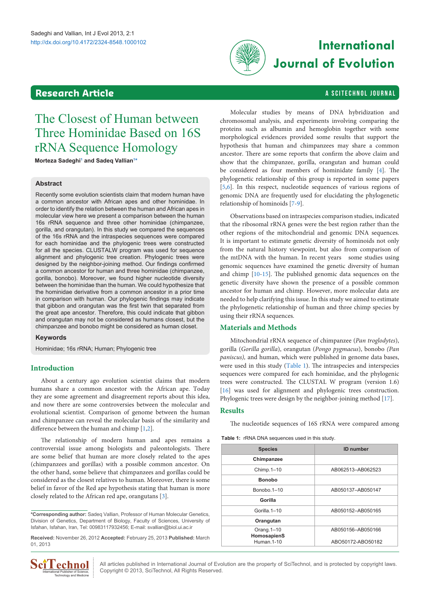# <span id="page-0-2"></span>**Research Article a Southern Article** a SCITECHNOL JOURNAL



# **International Journal of Evolution**

# The Closest of Human between Three Hominidae Based on 16S rRNA Sequence Homology

**Morteza Sadeghi[1](#page-2-0) and Sadeq Vallian[1](#page-2-0) [\\*](#page-0-0)**

## **Abstract**

Recently some evolution scientists claim that modern human have a common ancestor with African apes and other hominidae. In order to identify the relation between the human and African apes in molecular view here we present a comparison between the human 16s rRNA sequence and three other hominidae (chimpanzee, gorilla, and orangutan). In this study we compared the sequences of the 16s rRNA and the intraspecies sequences were compared for each hominidae and the phylogenic trees were constructed for all the species. CLUSTALW program was used for sequence alignment and phylogenic tree creation. Phylogenic trees were designed by the neighbor-joining method. Our findings confirmed a common ancestor for human and three hominidae (chimpanzee, gorilla, bonobo). Moreover, we found higher nucleotide diversity between the hominidae than the human. We could hypothesize that the hominidae derivative from a common ancestor in a prior time in comparison with human. Our phylogenic findings may indicate that gibbon and orangutan was the first twin that separated from the great ape ancestor. Therefore, this could indicate that gibbon and orangutan may not be considered as humans closest, but the chimpanzee and bonobo might be considered as human closet.

### **Keywords**

Hominidae; 16s rRNA; Human; Phylogenic tree

# **Introduction**

About a century ago evolution scientist claims that modern humans share a common ancestor with the African ape. Today they are some agreement and disagreement reports about this idea, and now there are some controversies between the molecular and evolutional scientist. Comparison of genome between the human and chimpanzee can reveal the molecular basis of the similarity and difference between the human and chimp [[1,](#page-2-1)[2](#page-2-2)].

The relationship of modern human and apes remains a controversial issue among biologists and paleontologists. There are some belief that human are more closely related to the apes (chimpanzees and gorillas) with a possible common ancestor. On the other hand, some believe that chimpanzees and gorillas could be considered as the closest relatives to human. Moreover, there is some belief in favor of the Red ape hypothesis stating that human is more closely related to the African red ape, orangutans [\[3](#page-2-3)].

<span id="page-0-0"></span>**\*Corresponding author:** Sadeq Vallian, Professor of Human Molecular Genetics, Division of Genetics, Department of Biology, Faculty of Sciences, University of Isfahan, Isfahan, Iran, Tel: 00983117932456; E-mail: svallian@biol.ui.ac.ir

**Received:** November 26, 2012 **Accepted:** February 25, 2013 **Published:** March 01, 2013



All articles published in International Journal of Evolution are the property of SciTechnol, and is protected by copyright laws. Copyright © 2013, SciTechnol, All Rights Reserved.

Molecular studies by means of DNA hybridization and chromosomal analysis, and experiments involving comparing the proteins such as albumin and hemoglobin together with some morphological evidences provided some results that support the hypothesis that human and chimpanzees may share a common ancestor. There are some reports that confirm the above claim and show that the chimpanzee, gorilla, orangutan and human could be considered as four members of hominidate family [[4](#page-2-4)]. The phylogenetic relationship of this group is reported in some papers [[5](#page-2-5)[,6](#page-2-6)]. In this respect, nucleotide sequences of various regions of genomic DNA are frequently used for elucidating the phylogenetic relationship of hominoids [[7](#page-2-7)[-9\]](#page-2-8).

Observations based on intraspecies comparison studies, indicated that the ribosomal rRNA genes were the best region rather than the other regions of the mitochondrial and genomic DNA sequences. It is important to estimate genetic diversity of hominoids not only from the natural history viewpoint, but also from comparison of the mtDNA with the human. In recent years some studies using genomic sequences have examined the genetic diversity of human and chimp [\[10-](#page-2-9)[15\]](#page-2-10). The published genomic data sequences on the genetic diversity have shown the presence of a possible common ancestor for human and chimp. However, more molecular data are needed to help clarifying this issue. In this study we aimed to estimate the phylogenetic relationship of human and three chimp species by using their rRNA sequences.

### **Materials and Methods**

Mitochondrial rRNA sequence of chimpanzee (*Pan troglodytes*), gorilla (*Gorilla gorilla*), orangutan (*Pongo pygmaeus*), bonobo *(Pan paniscus),* and human, which were published in genome data bases, were used in this study [\(Table 1\)](#page-0-1). The intraspecies and interspecies sequences were compared for each hominidae, and the phylogenic trees were constructed. The CLUSTAL W program (version 1.6) [[16](#page-2-11)] was used for alignment and phylogenic trees construction. Phylogenic trees were design by the neighbor-joining method [[17](#page-2-12)].

## **Results**

The nucleotide sequences of 16S rRNA were compared among

<span id="page-0-1"></span>**Table 1:** rRNA DNA sequences used in this study.

| <b>Species</b>            | <b>ID</b> number  |
|---------------------------|-------------------|
| Chimpanzee                |                   |
| Chimp.1-10                | AB062513-AB062523 |
| <b>Bonobo</b>             |                   |
| Bonobo.1-10               | AB050137-AB050147 |
| Gorilla                   |                   |
| Gorilla 1-10              | AB050152-AB050165 |
| Orangutan                 |                   |
| Orang.1-10<br>HomosapienS | AB050156-AB050166 |
| Human. 1-10               | ABO50172-ABO50182 |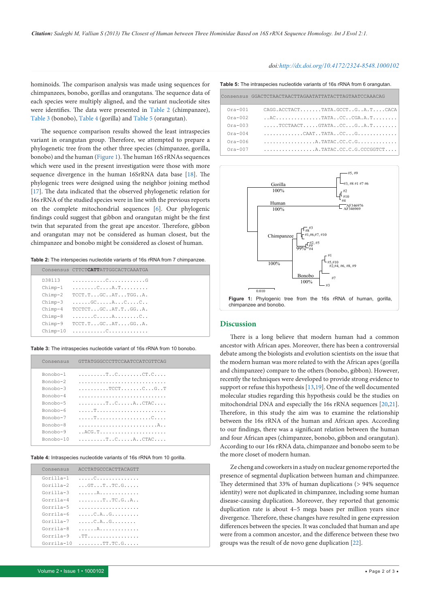hominoids. The comparison analysis was made using sequences for chimpanzees, bonobo, gorillas and orangutans. The sequence data of each species were multiply aligned, and the variant nucleotide sites were identifies. The data were presented in [Table 2](#page-1-0) (chimpanzee), [Table 3](#page-1-1) (bonobo), [Table 4](#page-1-2) (gorilla) and [Table 5](#page-1-3) (orangutan).

The sequence comparison results showed the least intraspecies variant in orangutan group. Therefore, we attempted to prepare a phylogenetic tree from the other three species (chimpanzee, gorilla, bonobo) and the human [\(Figure 1\)](#page-1-4). The human 16S rRNAs sequences which were used in the present investigation were those with more sequence divergence in the human 16SrRNA data base [\[18](#page-2-13)]. The phylogenic trees were designed using the neighbor joining method [[17](#page-2-12)]. The data indicated that the observed phylogenetic relation for 16s rRNA of the studied species were in line with the previous reports on the complete mitochondrial sequences [[6\]](#page-2-6). Our phylogenic findings could suggest that gibbon and orangutan might be the first twin that separated from the great ape ancestor. Therefore, gibbon and orangutan may not be considered as human closest, but the chimpanzee and bonobo might be considered as closest of human.

**Table 2:** The interspecies nucleotide variants of 16s rRNA from 7 chimpanzee.

<span id="page-1-0"></span>

|            | Consensus CTTCT <b>CATT</b> ATTGGCACTCAAATGA |
|------------|----------------------------------------------|
| D38113     |                                              |
| $Chimp-1$  | . C. A . T                                   |
| $Chimp-2$  | $TCCT.T.$ $GC.$ . $AT.$ $TGG.$ . $A.$        |
| $Chimp-3$  | . GC A C C                                   |
| $Chimp-4$  | TCCTCTGCAT.TGGA.                             |
| $Chimp-8$  |                                              |
| $Chimp-9$  | $TCCT.T.$ GC $AT.$ GG $A$ .                  |
| $Chimp-10$ |                                              |

**Table 3:** The intraspecies nucleotide variant of 16s rRNA from 10 bonobo.

<span id="page-1-1"></span>

| Consensus                                                                                                                     | GTTATGGGCCCTTCCAATCCATCGTTCAG |
|-------------------------------------------------------------------------------------------------------------------------------|-------------------------------|
| Bonobo-1<br>$B$ onobo- $2$<br>$Bonoho-3$<br>Bonobo-4<br>Bonobo-5<br>Bonobo-6<br>Bonobo-7<br>Bonobo-8<br>Bonobo-9<br>Bonobo-10 | TCCTCGT<br>ACG.T              |
|                                                                                                                               |                               |

**Table 4:** Intraspecies nucleotide variants of 16s rRNA from 10 gorilla.

<span id="page-1-2"></span>

| Consensus   | ACCTATGCCCACTTACAGTT                     |
|-------------|------------------------------------------|
| Gorilla-1   |                                          |
| $Gorilla-2$ | $\ldots$ GTTTC.G                         |
| $Gorilla-3$ |                                          |
| Gorrila-4   | . T. . T.C . G. . A                      |
| Gorrila-5   | .                                        |
| Gorrila-6   | . C . A G                                |
| $Gorilla-7$ | . C . A G                                |
| Gorrila-8   |                                          |
| Gorrila-9   | . TT                                     |
| $Gorr1a-10$ | $1.1.1.1.1.0.000$ . TT. TC. G. $1.1.1.1$ |
|             |                                          |

#### <span id="page-1-3"></span>*doi:http://dx.doi.org/10.4172/2324-8548.1000102*

**Table 5:** The intraspecies nucleotide variants of 16s rRNA from 6 orangutan.

|           | Consensus GGACTCTAACTAACTTAGAATATTATACTTAGTAATCCAAACAG                                                                               |
|-----------|--------------------------------------------------------------------------------------------------------------------------------------|
| $Ora-001$ | CAGG.ACCTACTTATA.GCCTGA.TCACA                                                                                                        |
| $Ora-002$ |                                                                                                                                      |
| $Ora-003$ | $\ldots$ TCCTAACTGTATACCGA.T                                                                                                         |
| $Ora-004$ | $\ldots \ldots \ldots \ldots \text{CART} \ldots \text{TATA} \ldots \text{CC} \ldots \text{G} \ldots \text{G} \ldots \ldots \text{G}$ |
| $Ora-006$ | $\ldots \ldots \ldots \ldots \ldots$ . A. TATAC. CC. C. G. $\ldots \ldots \ldots \ldots$                                             |
| $Ora-007$ | $\ldots \ldots \ldots \ldots \ldots$ . A. TATAC. CC. C. G. CCCGGTCT. $\ldots$                                                        |

<span id="page-1-4"></span>

### **Discussion**

There is a long believe that modern human had a common ancestor with African apes. Moreover, there has been a controversial debate among the biologists and evolution scientists on the issue that the modern human was more related to with the African apes (gorilla and chimpanzee) compare to the others (bonobo, gibbon). However, recently the techniques were developed to provide strong evidence to support or refuse this hypothesis [[13,](#page-2-14)[19](#page-2-15)]. One of the well documented molecular studies regarding this hypothesis could be the studies on mitochondrial DNA and especially the 16s rRNA sequences [\[20,](#page-2-16)[21\]](#page-2-17). Therefore, in this study the aim was to examine the relationship between the 16s rRNA of the human and African apes. According to our findings, there was a significant relation between the human and four African apes (chimpanzee, bonobo, gibbon and orangutan). According to our 16s rRNA data, chimpanzee and bonobo seem to be the more closet of modern human.

Ze cheng and coworkers in a study on nuclear genome reported the presence of segmental duplication between human and chimpanzee. They determined that 33% of human duplications (> 94% sequence identity) were not duplicated in chimpanzee, including some human disease-causing duplication. Moreover, they reported that genomic duplication rate is about 4–5 mega bases per million years since divergence. Therefore, these changes have resulted in gene expression differences between the species. It was concluded that human and ape were from a common ancestor, and the difference between these two groups was the result of de novo gene duplication [\[22](#page-2-18)].